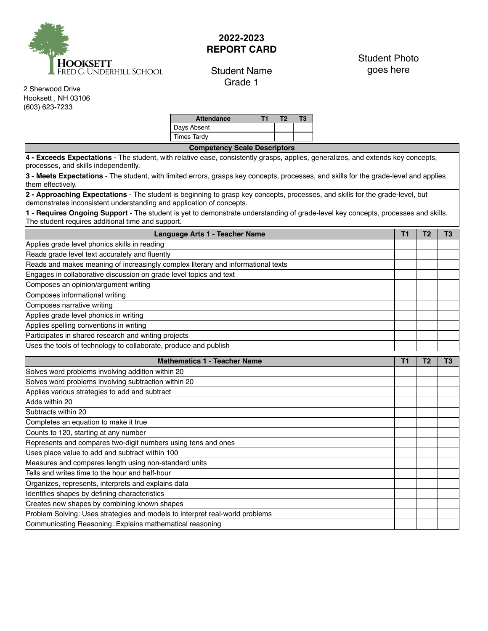

## **2022-2023 REPORT CARD**

## Student Name Grade 1

## Student Photo goes here

2 Sherwood Drive Hooksett , NH 03106 (603) 623-7233

| <b>Attendance</b> |  |  |
|-------------------|--|--|
| Days Absent       |  |  |
| Times Tardy       |  |  |

**Competency Scale Descriptors 4 - Exceeds Expectations** - The student, with relative ease, consistently grasps, applies, generalizes, and extends key concepts, processes, and skills independently. **3 - Meets Expectations** - The student, with limited errors, grasps key concepts, processes, and skills for the grade‐level and applies them effectively. **2 - Approaching Expectations** - The student is beginning to grasp key concepts, processes, and skills for the grade‐level, but demonstrates inconsistent understanding and application of concepts. **1 - Requires Ongoing Support** - The student is yet to demonstrate understanding of grade‐level key concepts, processes and skills. The student requires additional time and support. **Language Arts 1 - Teacher Name T1** T2 T3 Applies grade level phonics skills in reading Reads grade level text accurately and fluently Reads and makes meaning of increasingly complex literary and informational texts Engages in collaborative discussion on grade level topics and text Composes an opinion/argument writing Composes informational writing

Composes narrative writing Applies grade level phonics in writing Applies spelling conventions in writing Participates in shared research and writing projects

Uses the tools of technology to collaborate, produce and publish

| <b>Mathematics 1 - Teacher Name</b>                                          |  |  |  |
|------------------------------------------------------------------------------|--|--|--|
| Solves word problems involving addition within 20                            |  |  |  |
| Solves word problems involving subtraction within 20                         |  |  |  |
| Applies various strategies to add and subtract                               |  |  |  |
| Adds within 20                                                               |  |  |  |
| Subtracts within 20                                                          |  |  |  |
| Completes an equation to make it true                                        |  |  |  |
| Counts to 120, starting at any number                                        |  |  |  |
| Represents and compares two-digit numbers using tens and ones                |  |  |  |
| Uses place value to add and subtract within 100                              |  |  |  |
| Measures and compares length using non-standard units                        |  |  |  |
| Tells and writes time to the hour and half-hour                              |  |  |  |
| Organizes, represents, interprets and explains data                          |  |  |  |
| Identifies shapes by defining characteristics                                |  |  |  |
| Creates new shapes by combining known shapes                                 |  |  |  |
| Problem Solving: Uses strategies and models to interpret real-world problems |  |  |  |
| Communicating Reasoning: Explains mathematical reasoning                     |  |  |  |